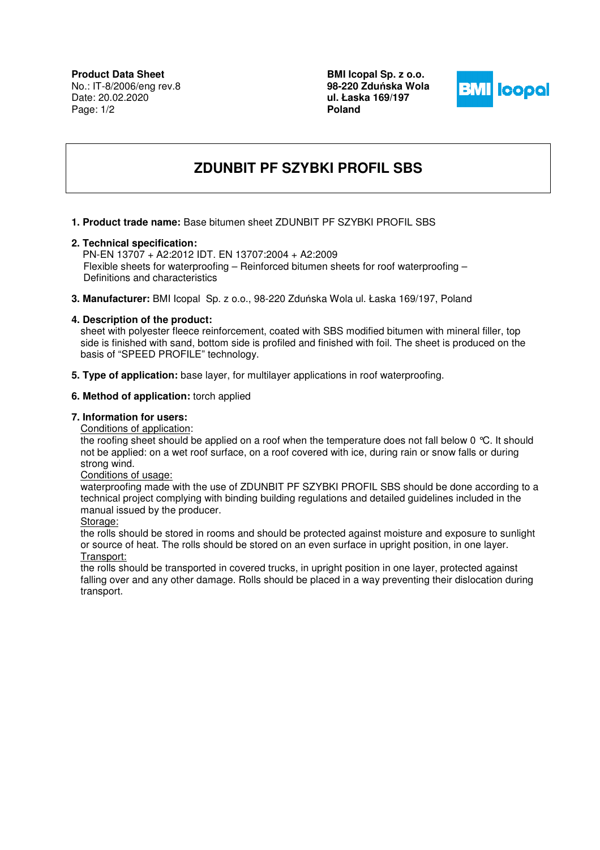**Product Data Sheet** No.: IT-8/2006/eng rev.8 Date: 20.02.2020 Page: 1/2

**BMI Icopal Sp. z o.o. 98-220 Zdu**ń**ska Wola ul. Łaska 169/197 Poland** 



# **ZDUNBIT PF SZYBKI PROFIL SBS**

**1. Product trade name:** Base bitumen sheet ZDUNBIT PF SZYBKI PROFIL SBS

#### **2. Technical specification:**

 PN-EN 13707 + A2:2012 IDT. EN 13707:2004 + A2:2009 Flexible sheets for waterproofing – Reinforced bitumen sheets for roof waterproofing – Definitions and characteristics

**3. Manufacturer:** BMI Icopal Sp. z o.o., 98-220 Zduńska Wola ul. Łaska 169/197, Poland

# **4. Description of the product:**

sheet with polyester fleece reinforcement, coated with SBS modified bitumen with mineral filler, top side is finished with sand, bottom side is profiled and finished with foil. The sheet is produced on the basis of "SPEED PROFILE" technology.

**5. Type of application:** base layer, for multilayer applications in roof waterproofing.

# **6. Method of application:** torch applied

#### **7. Information for users:**

Conditions of application:

the roofing sheet should be applied on a roof when the temperature does not fall below 0 °C. It should not be applied: on a wet roof surface, on a roof covered with ice, during rain or snow falls or during strong wind.

#### Conditions of usage:

waterproofing made with the use of ZDUNBIT PF SZYBKI PROFIL SBS should be done according to a technical project complying with binding building regulations and detailed guidelines included in the manual issued by the producer.

#### Storage:

the rolls should be stored in rooms and should be protected against moisture and exposure to sunlight or source of heat. The rolls should be stored on an even surface in upright position, in one layer. Transport:

the rolls should be transported in covered trucks, in upright position in one layer, protected against falling over and any other damage. Rolls should be placed in a way preventing their dislocation during transport.